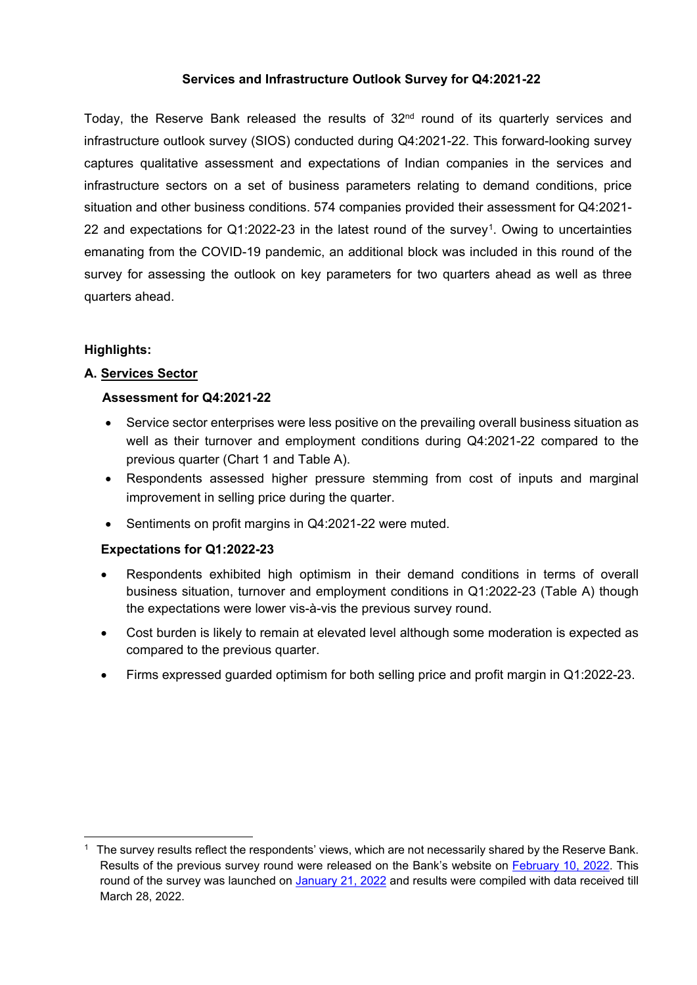# **Services and Infrastructure Outlook Survey for Q4:2021-22**

Today, the Reserve Bank released the results of 32<sup>nd</sup> round of its quarterly services and infrastructure outlook survey (SIOS) conducted during Q4:2021-22. This forward-looking survey captures qualitative assessment and expectations of Indian companies in the services and infrastructure sectors on a set of business parameters relating to demand conditions, price situation and other business conditions. 574 companies provided their assessment for Q4:2021- 22 and expectations for Q1:2022-23 in the latest round of the survey[1](#page-0-0). Owing to uncertainties emanating from the COVID-19 pandemic, an additional block was included in this round of the survey for assessing the outlook on key parameters for two quarters ahead as well as three quarters ahead.

# **Highlights:**

**.** 

# **A. Services Sector**

#### **Assessment for Q4:2021-22**

- Service sector enterprises were less positive on the prevailing overall business situation as well as their turnover and employment conditions during Q4:2021-22 compared to the previous quarter (Chart 1 and Table A).
- Respondents assessed higher pressure stemming from cost of inputs and marginal improvement in selling price during the quarter.
- Sentiments on profit margins in Q4:2021-22 were muted.

#### **Expectations for Q1:2022-23**

- Respondents exhibited high optimism in their demand conditions in terms of overall business situation, turnover and employment conditions in Q1:2022-23 (Table A) though the expectations were lower vis-à-vis the previous survey round.
- Cost burden is likely to remain at elevated level although some moderation is expected as compared to the previous quarter.
- Firms expressed guarded optimism for both selling price and profit margin in Q1:2022-23.

<span id="page-0-0"></span> $1$  The survey results reflect the respondents' views, which are not necessarily shared by the Reserve Bank. Results of the previous survey round were released on the Bank's website on [February 10, 2022.](https://www.rbi.org.in/Scripts/PublicationsView.aspx?id=21004) This round of the survey was launched on [January 21, 2022](https://www.rbi.org.in/Scripts/BS_PressReleaseDisplay.aspx?prid=53135) and results were compiled with data received till March 28, 2022.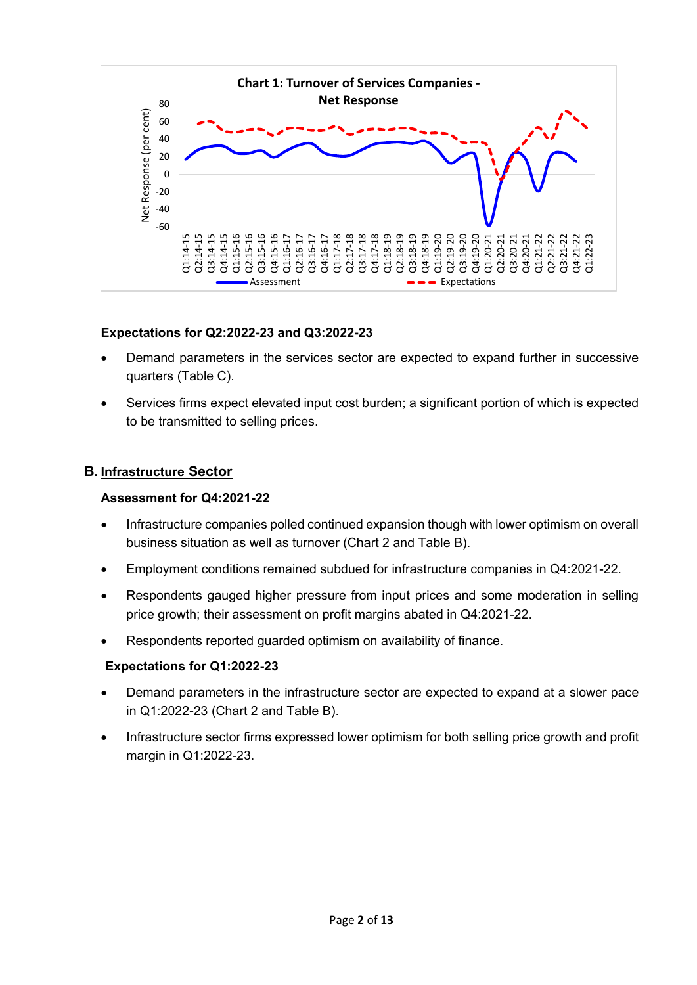

# **Expectations for Q2:2022-23 and Q3:2022-23**

- Demand parameters in the services sector are expected to expand further in successive quarters (Table C).
- Services firms expect elevated input cost burden; a significant portion of which is expected to be transmitted to selling prices.

# **B. Infrastructure Sector**

# **Assessment for Q4:2021-22**

- Infrastructure companies polled continued expansion though with lower optimism on overall business situation as well as turnover (Chart 2 and Table B).
- Employment conditions remained subdued for infrastructure companies in Q4:2021-22.
- Respondents gauged higher pressure from input prices and some moderation in selling price growth; their assessment on profit margins abated in Q4:2021-22.
- Respondents reported guarded optimism on availability of finance.

# **Expectations for Q1:2022-23**

- Demand parameters in the infrastructure sector are expected to expand at a slower pace in Q1:2022-23 (Chart 2 and Table B).
- Infrastructure sector firms expressed lower optimism for both selling price growth and profit margin in Q1:2022-23.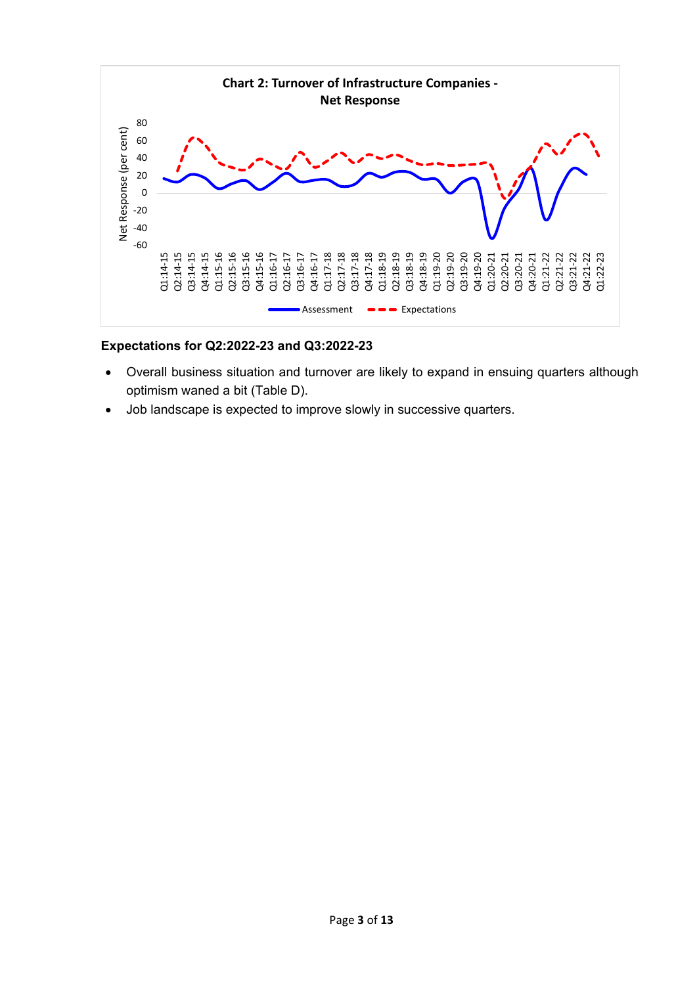

# **Expectations for Q2:2022-23 and Q3:2022-23**

- Overall business situation and turnover are likely to expand in ensuing quarters although optimism waned a bit (Table D).
- Job landscape is expected to improve slowly in successive quarters.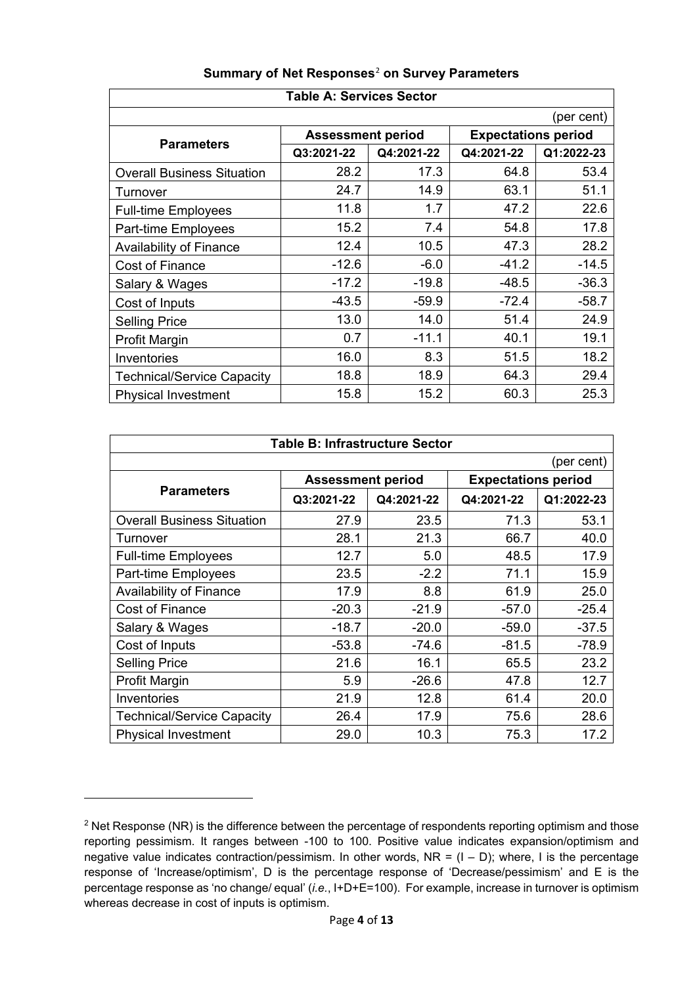| Table A: Services Sector          |                          |            |                            |            |  |  |  |  |  |  |  |
|-----------------------------------|--------------------------|------------|----------------------------|------------|--|--|--|--|--|--|--|
|                                   | (per cent)               |            |                            |            |  |  |  |  |  |  |  |
| <b>Parameters</b>                 | <b>Assessment period</b> |            | <b>Expectations period</b> |            |  |  |  |  |  |  |  |
|                                   | Q3:2021-22               | Q4:2021-22 | Q4:2021-22                 | Q1:2022-23 |  |  |  |  |  |  |  |
| <b>Overall Business Situation</b> | 28.2                     | 17.3       | 64.8                       | 53.4       |  |  |  |  |  |  |  |
| Turnover                          | 24.7                     | 14.9       | 63.1                       | 51.1       |  |  |  |  |  |  |  |
| <b>Full-time Employees</b>        | 11.8                     | 1.7        | 47.2                       | 22.6       |  |  |  |  |  |  |  |
| Part-time Employees               | 15.2                     | 7.4        | 54.8                       | 17.8       |  |  |  |  |  |  |  |
| <b>Availability of Finance</b>    | 12.4                     | 10.5       | 47.3                       | 28.2       |  |  |  |  |  |  |  |
| <b>Cost of Finance</b>            | $-12.6$                  | $-6.0$     | $-41.2$                    | $-14.5$    |  |  |  |  |  |  |  |
| Salary & Wages                    | $-17.2$                  | $-19.8$    | $-48.5$                    | $-36.3$    |  |  |  |  |  |  |  |
| Cost of Inputs                    | $-43.5$                  | $-59.9$    | $-72.4$                    | $-58.7$    |  |  |  |  |  |  |  |
| <b>Selling Price</b>              | 13.0                     | 14.0       | 51.4                       | 24.9       |  |  |  |  |  |  |  |
| Profit Margin                     | 0.7                      | $-11.1$    | 40.1                       | 19.1       |  |  |  |  |  |  |  |
| Inventories                       | 16.0                     | 8.3        | 51.5                       | 18.2       |  |  |  |  |  |  |  |
| <b>Technical/Service Capacity</b> | 18.8                     | 18.9       | 64.3                       | 29.4       |  |  |  |  |  |  |  |
| <b>Physical Investment</b>        | 15.8                     | 15.2       | 60.3                       | 25.3       |  |  |  |  |  |  |  |

# **Summary of [Ne](#page-3-0)t Responses**[2](#page-3-1) **on Survey Parameters**

| <b>Table B: Infrastructure Sector</b> |                          |            |                            |            |  |  |  |  |  |
|---------------------------------------|--------------------------|------------|----------------------------|------------|--|--|--|--|--|
|                                       |                          |            |                            | (per cent) |  |  |  |  |  |
|                                       | <b>Assessment period</b> |            | <b>Expectations period</b> |            |  |  |  |  |  |
| <b>Parameters</b>                     | Q3:2021-22               | Q4:2021-22 | Q4:2021-22                 | Q1:2022-23 |  |  |  |  |  |
| <b>Overall Business Situation</b>     | 27.9                     | 23.5       | 71.3                       | 53.1       |  |  |  |  |  |
| Turnover                              | 28.1                     | 21.3       | 66.7                       | 40.0       |  |  |  |  |  |
| <b>Full-time Employees</b>            | 12.7                     | 5.0        | 48.5                       | 17.9       |  |  |  |  |  |
| Part-time Employees                   | 23.5                     | $-2.2$     | 71.1                       | 15.9       |  |  |  |  |  |
| Availability of Finance               | 17.9                     | 8.8        | 61.9                       | 25.0       |  |  |  |  |  |
| <b>Cost of Finance</b>                | $-20.3$                  | $-21.9$    | $-57.0$                    | $-25.4$    |  |  |  |  |  |
| Salary & Wages                        | $-18.7$                  | $-20.0$    | $-59.0$                    | $-37.5$    |  |  |  |  |  |
| Cost of Inputs                        | $-53.8$                  | $-74.6$    | $-81.5$                    | $-78.9$    |  |  |  |  |  |
| <b>Selling Price</b>                  | 21.6                     | 16.1       | 65.5                       | 23.2       |  |  |  |  |  |
| Profit Margin                         | 5.9                      | $-26.6$    | 47.8                       | 12.7       |  |  |  |  |  |
| Inventories                           | 21.9                     | 12.8       | 61.4                       | 20.0       |  |  |  |  |  |
| <b>Technical/Service Capacity</b>     | 26.4                     | 17.9       | 75.6                       | 28.6       |  |  |  |  |  |
| <b>Physical Investment</b>            | 29.0                     | 10.3       | 75.3                       | 17.2       |  |  |  |  |  |

**.** 

<span id="page-3-1"></span><span id="page-3-0"></span> $2$  Net Response (NR) is the difference between the percentage of respondents reporting optimism and those reporting pessimism. It ranges between -100 to 100. Positive value indicates expansion/optimism and negative value indicates contraction/pessimism. In other words,  $NR = (I - D)$ ; where, I is the percentage response of 'Increase/optimism', D is the percentage response of 'Decrease/pessimism' and E is the percentage response as 'no change/ equal' (*i.e.*, I+D+E=100). For example, increase in turnover is optimism whereas decrease in cost of inputs is optimism.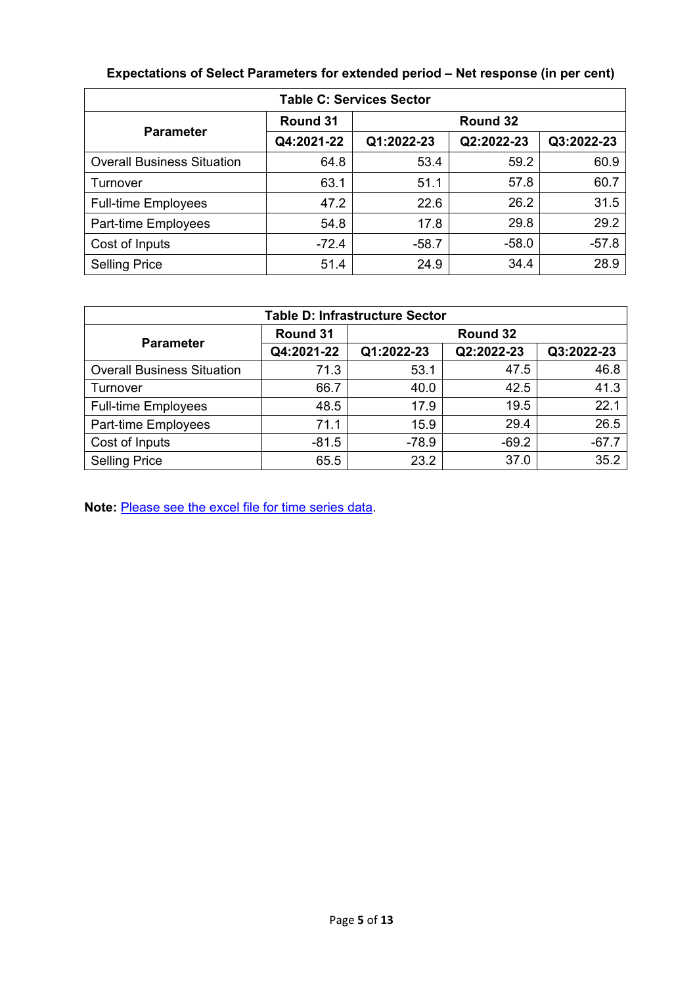| <b>Table C: Services Sector</b>   |            |            |            |            |  |  |  |  |  |  |
|-----------------------------------|------------|------------|------------|------------|--|--|--|--|--|--|
| <b>Parameter</b>                  | Round 31   |            | Round 32   |            |  |  |  |  |  |  |
|                                   | Q4:2021-22 | Q1:2022-23 | Q2:2022-23 | Q3:2022-23 |  |  |  |  |  |  |
| <b>Overall Business Situation</b> | 64.8       | 53.4       | 59.2       | 60.9       |  |  |  |  |  |  |
| Turnover                          | 63.1       | 51.1       | 57.8       | 60.7       |  |  |  |  |  |  |
| <b>Full-time Employees</b>        | 47.2       | 22.6       | 26.2       | 31.5       |  |  |  |  |  |  |
| Part-time Employees               | 54.8       | 17.8       | 29.8       | 29.2       |  |  |  |  |  |  |
| Cost of Inputs                    | $-72.4$    | $-58.7$    | $-58.0$    | $-57.8$    |  |  |  |  |  |  |
| <b>Selling Price</b>              | 51.4       | 24.9       | 34.4       | 28.9       |  |  |  |  |  |  |

# **Expectations of Select Parameters for extended period – Net response (in per cent)**

| <b>Table D: Infrastructure Sector</b> |            |            |            |            |  |  |  |  |  |
|---------------------------------------|------------|------------|------------|------------|--|--|--|--|--|
| <b>Parameter</b>                      | Round 31   |            | Round 32   |            |  |  |  |  |  |
|                                       | Q4:2021-22 | Q1:2022-23 | Q2:2022-23 | Q3:2022-23 |  |  |  |  |  |
| <b>Overall Business Situation</b>     | 71.3       | 53.1       | 47.5       | 46.8       |  |  |  |  |  |
| Turnover                              | 66.7       | 40.0       | 42.5       | 41.3       |  |  |  |  |  |
| <b>Full-time Employees</b>            | 48.5       | 17.9       | 19.5       | 22.1       |  |  |  |  |  |
| Part-time Employees                   | 71.1       | 15.9       | 29.4       | 26.5       |  |  |  |  |  |
| Cost of Inputs                        | $-81.5$    | $-78.9$    | $-69.2$    | $-67.7$    |  |  |  |  |  |
| <b>Selling Price</b>                  | 65.5       | 23.2       | 37.0       | 35.2       |  |  |  |  |  |

**Note:** [Please see the excel file for time series data.](https://rbidocs.rbi.org.in/rdocs/content/docs/SIOSR3208042022.xlsx)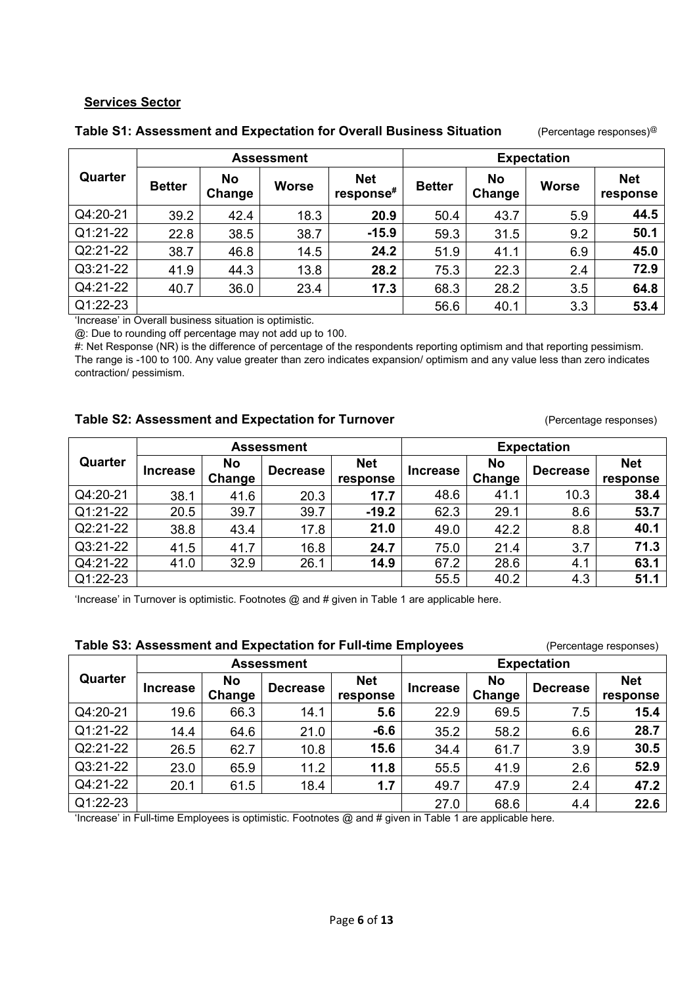# **Services Sector**

|          |               |                     | <b>Assessment</b> |                         | <b>Expectation</b> |                     |              |                        |
|----------|---------------|---------------------|-------------------|-------------------------|--------------------|---------------------|--------------|------------------------|
| Quarter  | <b>Better</b> | <b>No</b><br>Change | <b>Worse</b>      | <b>Net</b><br>response# | <b>Better</b>      | <b>No</b><br>Change | <b>Worse</b> | <b>Net</b><br>response |
| Q4:20-21 | 39.2          | 42.4                | 18.3              | 20.9                    | 50.4               | 43.7                | 5.9          | 44.5                   |
| Q1:21-22 | 22.8          | 38.5                | 38.7              | $-15.9$                 | 59.3               | 31.5                | 9.2          | 50.1                   |
| Q2:21-22 | 38.7          | 46.8                | 14.5              | 24.2                    | 51.9               | 41.1                | 6.9          | 45.0                   |
| Q3:21-22 | 41.9          | 44.3                | 13.8              | 28.2                    | 75.3               | 22.3                | 2.4          | 72.9                   |
| Q4:21-22 | 40.7          | 36.0                | 23.4              | 17.3                    | 68.3               | 28.2                | 3.5          | 64.8                   |
| Q1:22-23 |               |                     |                   |                         | 56.6               | 40.1                | 3.3          | 53.4                   |

#### **Table S1: Assessment and Expectation for Overall Business Situation** (Percentage responses)@

'Increase' in Overall business situation is optimistic.

@: Due to rounding off percentage may not add up to 100.

#: Net Response (NR) is the difference of percentage of the respondents reporting optimism and that reporting pessimism. The range is -100 to 100. Any value greater than zero indicates expansion/ optimism and any value less than zero indicates contraction/ pessimism.

#### **Table S2: Assessment and Expectation for Turnover** *(Percentage responses)*

|          |                 |                     | <b>Assessment</b> |                        | <b>Expectation</b> |                     |                 |                        |
|----------|-----------------|---------------------|-------------------|------------------------|--------------------|---------------------|-----------------|------------------------|
| Quarter  | <b>Increase</b> | <b>No</b><br>Change | <b>Decrease</b>   | <b>Net</b><br>response | <b>Increase</b>    | <b>No</b><br>Change | <b>Decrease</b> | <b>Net</b><br>response |
| Q4:20-21 | 38.1            | 41.6                | 20.3              | 17.7                   | 48.6               | 41.1                | 10.3            | 38.4                   |
| Q1:21-22 | 20.5            | 39.7                | 39.7              | $-19.2$                | 62.3               | 29.1                | 8.6             | 53.7                   |
| Q2:21-22 | 38.8            | 43.4                | 17.8              | 21.0                   | 49.0               | 42.2                | 8.8             | 40.1                   |
| Q3:21-22 | 41.5            | 41.7                | 16.8              | 24.7                   | 75.0               | 21.4                | 3.7             | 71.3                   |
| Q4:21-22 | 41.0            | 32.9                | 26.1              | 14.9                   | 67.2               | 28.6                | 4.1             | 63.1                   |
| Q1:22-23 |                 |                     |                   |                        | 55.5               | 40.2                | 4.3             | 51.1                   |

'Increase' in Turnover is optimistic. Footnotes  $@$  and  $#$  given in Table 1 are applicable here.

| Table S3: Assessment and Expectation for Full-time Employees<br>(Percentage responses) |                 |              |                   |                        |                 |              |                    |                        |  |
|----------------------------------------------------------------------------------------|-----------------|--------------|-------------------|------------------------|-----------------|--------------|--------------------|------------------------|--|
|                                                                                        |                 |              | <b>Assessment</b> |                        |                 |              | <b>Expectation</b> |                        |  |
| Quarter                                                                                | <b>Increase</b> | No<br>Change | <b>Decrease</b>   | <b>Net</b><br>response | <b>Increase</b> | No<br>Change | <b>Decrease</b>    | <b>Net</b><br>response |  |
| Q4:20-21                                                                               | 19.6            | 66.3         | 14.1              | 5.6                    | 22.9            | 69.5         | 7.5                | 15.4                   |  |
| Q1:21-22                                                                               | 14.4            | 64.6         | 21.0              | $-6.6$                 | 35.2            | 58.2         | 6.6                | 28.7                   |  |
| Q2:21-22                                                                               | 26.5            | 62.7         | 10.8              | 15.6                   | 34.4            | 61.7         | 3.9                | 30.5                   |  |
| Q3:21-22                                                                               | 23.0            | 65.9         | 11.2              | 11.8                   | 55.5            | 41.9         | 2.6                | 52.9                   |  |
| Q4:21-22                                                                               | 20.1            | 61.5         | 18.4              | 1.7                    | 49.7            | 47.9         | 2.4                | 47.2                   |  |
| Q1:22-23                                                                               |                 |              |                   |                        | 27.0            | 68.6         | 4.4                | 22.6                   |  |

'Increase' in Full-time Employees is optimistic. Footnotes @ and # given in Table 1 are applicable here.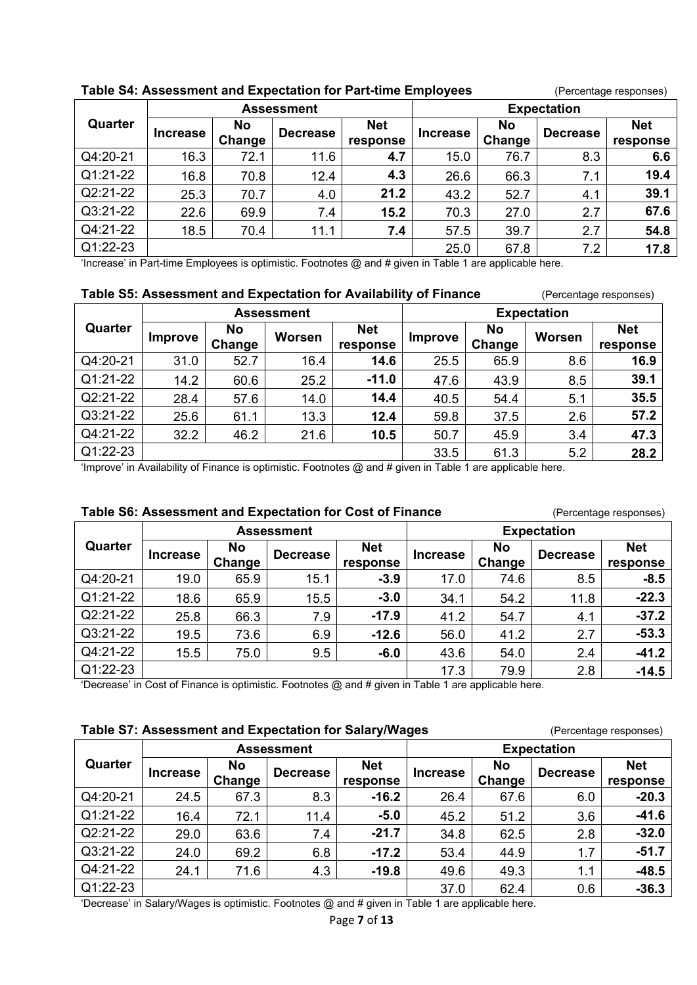| rapie 34. Assessinent and Expectation for Fart-time Employees<br>(Fercentage responses) |                 |        |                   |            |                    |           |                 |            |  |  |
|-----------------------------------------------------------------------------------------|-----------------|--------|-------------------|------------|--------------------|-----------|-----------------|------------|--|--|
|                                                                                         |                 |        | <b>Assessment</b> |            | <b>Expectation</b> |           |                 |            |  |  |
| Quarter                                                                                 | <b>Increase</b> | No     | <b>Decrease</b>   | <b>Net</b> | <b>Increase</b>    | <b>No</b> | <b>Decrease</b> | <b>Net</b> |  |  |
|                                                                                         |                 | Change |                   | response   |                    | Change    |                 | response   |  |  |
| Q4:20-21                                                                                | 16.3            | 72.1   | 11.6              | 4.7        | 15.0               | 76.7      | 8.3             | 6.6        |  |  |
| Q1:21-22                                                                                | 16.8            | 70.8   | 12.4              | 4.3        | 26.6               | 66.3      | 7.1             | 19.4       |  |  |
| $Q2:21-22$                                                                              | 25.3            | 70.7   | 4.0               | 21.2       | 43.2               | 52.7      | 4.1             | 39.1       |  |  |
| Q3:21-22                                                                                | 22.6            | 69.9   | 7.4               | 15.2       | 70.3               | 27.0      | 2.7             | 67.6       |  |  |
| Q4:21-22                                                                                | 18.5            | 70.4   | 11.1              | 7.4        | 57.5               | 39.7      | 2.7             | 54.8       |  |  |
| Q1:22-23                                                                                |                 |        |                   |            | 25.0               | 67.8      | 7.2             | 17.8       |  |  |

#### **Table S4: Assessment and Expectation for Part-time Employees** (Percentage responses)

'Increase' in Part-time Employees is optimistic. Footnotes @ and # given in Table 1 are applicable here.

#### **Table S5: Assessment and Expectation for Availability of Finance** (Percentage responses)

|          |         |                     | <b>Assessment</b> |                        | <b>Expectation</b> |                     |        |                        |
|----------|---------|---------------------|-------------------|------------------------|--------------------|---------------------|--------|------------------------|
| Quarter  | Improve | <b>No</b><br>Change | Worsen            | <b>Net</b><br>response | Improve            | <b>No</b><br>Change | Worsen | <b>Net</b><br>response |
| Q4:20-21 | 31.0    | 52.7                | 16.4              | 14.6                   | 25.5               | 65.9                | 8.6    | 16.9                   |
| Q1:21-22 | 14.2    | 60.6                | 25.2              | $-11.0$                | 47.6               | 43.9                | 8.5    | 39.1                   |
| Q2:21-22 | 28.4    | 57.6                | 14.0              | 14.4                   | 40.5               | 54.4                | 5.1    | 35.5                   |
| Q3:21-22 | 25.6    | 61.1                | 13.3              | 12.4                   | 59.8               | 37.5                | 2.6    | 57.2                   |
| Q4:21-22 | 32.2    | 46.2                | 21.6              | 10.5                   | 50.7               | 45.9                | 3.4    | 47.3                   |
| Q1:22-23 |         |                     |                   |                        | 33.5               | 61.3                | 5.2    | 28.2                   |

'Improve' in Availability of Finance is optimistic. Footnotes @ and # given in Table 1 are applicable here.

#### **Table S6: Assessment and Expectation for Cost of Finance** (Percentage responses)

**Quarter Assessment Expectation Increase Change Change Decrease Net response Increase Change Change Decrease Net response** Q4:20-21 19.0 65.9 15.1 **-3.9** 17.0 74.6 8.5 **-8.5** Q1:21-22 18.6 65.9 15.5 **-3.0** 34.1 54.2 11.8 **-22.3** Q2:21-22 25.8 66.3 7.9 **-17.9** 41.2 54.7 4.1 **-37.2** Q3:21-22 19.5 73.6 6.9 **-12.6** 56.0 41.2 2.7 **-53.3** Q4:21-22 15.5 75.0 9.5 **-6.0** 43.6 54.0 2.4 **-41.2** Q1:22-23 17.3 79.9 2.8 **-14.5**

'Decrease' in Cost of Finance is optimistic. Footnotes @ and # given in Table 1 are applicable here.

# **Table S7: Assessment and Expectation for Salary/Wages** (Percentage responses)

|          |                 |                     |                   | .                      |                    |                     |                 |                        |  |
|----------|-----------------|---------------------|-------------------|------------------------|--------------------|---------------------|-----------------|------------------------|--|
|          |                 |                     | <b>Assessment</b> |                        | <b>Expectation</b> |                     |                 |                        |  |
| Quarter  | <b>Increase</b> | <b>No</b><br>Change | <b>Decrease</b>   | <b>Net</b><br>response | <b>Increase</b>    | <b>No</b><br>Change | <b>Decrease</b> | <b>Net</b><br>response |  |
| Q4:20-21 | 24.5            | 67.3                | 8.3               | $-16.2$                | 26.4               | 67.6                | 6.0             | $-20.3$                |  |
| Q1:21-22 | 16.4            | 72.1                | 11.4              | $-5.0$                 | 45.2               | 51.2                | 3.6             | $-41.6$                |  |
| Q2:21-22 | 29.0            | 63.6                | 7.4               | $-21.7$                | 34.8               | 62.5                | 2.8             | $-32.0$                |  |
| Q3:21-22 | 24.0            | 69.2                | 6.8               | $-17.2$                | 53.4               | 44.9                | 1.7             | $-51.7$                |  |
| Q4:21-22 | 24.1            | 71.6                | 4.3               | $-19.8$                | 49.6               | 49.3                | 1.1             | $-48.5$                |  |
| Q1:22-23 |                 |                     |                   |                        | 37.0               | 62.4                | 0.6             | $-36.3$                |  |

'Decrease' in Salary/Wages is optimistic. Footnotes @ and # given in Table 1 are applicable here.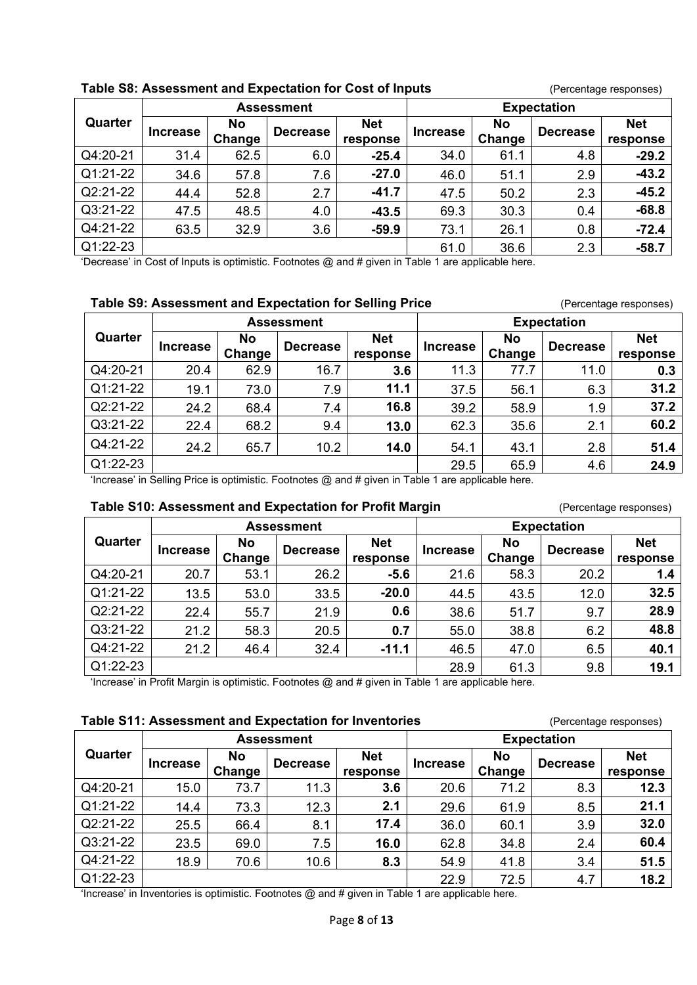|          |                 |                     | <b>Assessment</b> |                        | <b>Expectation</b> |                     |                 |                        |
|----------|-----------------|---------------------|-------------------|------------------------|--------------------|---------------------|-----------------|------------------------|
| Quarter  | <b>Increase</b> | <b>No</b><br>Change | <b>Decrease</b>   | <b>Net</b><br>response | <b>Increase</b>    | <b>No</b><br>Change | <b>Decrease</b> | <b>Net</b><br>response |
| Q4:20-21 | 31.4            | 62.5                | 6.0               | $-25.4$                | 34.0               | 61.1                | 4.8             | $-29.2$                |
| Q1:21-22 | 34.6            | 57.8                | 7.6               | $-27.0$                | 46.0               | 51.1                | 2.9             | $-43.2$                |
| Q2:21-22 | 44.4            | 52.8                | 2.7               | $-41.7$                | 47.5               | 50.2                | 2.3             | $-45.2$                |
| Q3:21-22 | 47.5            | 48.5                | 4.0               | $-43.5$                | 69.3               | 30.3                | 0.4             | $-68.8$                |
| Q4:21-22 | 63.5            | 32.9                | 3.6               | $-59.9$                | 73.1               | 26.1                | 0.8             | $-72.4$                |
| Q1:22-23 |                 |                     |                   |                        | 61.0               | 36.6                | 2.3             | $-58.7$                |

#### **Table S8: Assessment and Expectation for Cost of Inputs** (Percentage responses)

**Table S9: Assessment and Expectation for Selling Price** (Percentage responses)

'Decrease' in Cost of Inputs is optimistic. Footnotes @ and # given in Table 1 are applicable here.

|          |                 |                     | <b>Assessment</b> |                        |                 |                     | ັ<br><b>Expectation</b> |                        |
|----------|-----------------|---------------------|-------------------|------------------------|-----------------|---------------------|-------------------------|------------------------|
| Quarter  | <b>Increase</b> | <b>No</b><br>Change | <b>Decrease</b>   | <b>Net</b><br>response | <b>Increase</b> | <b>No</b><br>Change | <b>Decrease</b>         | <b>Net</b><br>response |
| Q4:20-21 | 20.4            | 62.9                | 16.7              | 3.6                    | 11.3            | 77.7                | 11.0                    | 0.3                    |
| Q1:21-22 | 19.1            | 73.0                | 7.9               | 11.1                   | 37.5            | 56.1                | 6.3                     | 31.2                   |
| Q2:21-22 | 24.2            | 68.4                | 7.4               | 16.8                   | 39.2            | 58.9                | 1.9                     | 37.2                   |
| Q3:21-22 | 22.4            | 68.2                | 9.4               | 13.0                   | 62.3            | 35.6                | 2.1                     | 60.2                   |
| Q4:21-22 | 24.2            | 65.7                | 10.2              | 14.0                   | 54.1            | 43.1                | 2.8                     | 51.4                   |
| Q1:22-23 |                 |                     |                   |                        | 29.5            | 65.9                | 4.6                     | 24.9                   |

'Increase' in Selling Price is optimistic. Footnotes @ and # given in Table 1 are applicable here.

# **Table S10: Assessment and Expectation for Profit Margin**  (Percentage responses)

**Quarter Assessment Expectation Increase No No Decrease** Ret **Change response Increase No Road Becrease** Ret Change **Decrease response** Q4:20-21 20.7 53.1 26.2 **-5.6** 21.6 58.3 20.2 **1.4** Q1:21-22 13.5 53.0 33.5 **-20.0** 44.5 43.5 12.0 **32.5** Q2:21-22 22.4 55.7 21.9 **0.6** 38.6 51.7 9.7 **28.9** Q3:21-22 21.2 58.3 20.5 **0.7** 55.0 38.8 6.2 **48.8** Q4:21-22 21.2 46.4 32.4 **-11.1** 46.5 47.0 6.5 **40.1** Q1:22-23 **19.1** 28.9 **19.1** 28.9 **19.1** 28.9 **19.1** 

'Increase' in Profit Margin is optimistic. Footnotes @ and # given in Table 1 are applicable here.

#### **Table S11: Assessment and Expectation for Inventories** (Percentage responses)

|          |                 |                            | <b>Assessment</b> |                        | <b>Expectation</b> |                     |                 |                        |
|----------|-----------------|----------------------------|-------------------|------------------------|--------------------|---------------------|-----------------|------------------------|
| Quarter  | <b>Increase</b> | <b>No</b><br><b>Change</b> | <b>Decrease</b>   | <b>Net</b><br>response | <b>Increase</b>    | <b>No</b><br>Change | <b>Decrease</b> | <b>Net</b><br>response |
| Q4:20-21 | 15.0            | 73.7                       | 11.3              | 3.6                    | 20.6               | 71.2                | 8.3             | 12.3                   |
| Q1:21-22 | 14.4            | 73.3                       | 12.3              | 2.1                    | 29.6               | 61.9                | 8.5             | 21.1                   |
| Q2:21-22 | 25.5            | 66.4                       | 8.1               | 17.4                   | 36.0               | 60.1                | 3.9             | 32.0                   |
| Q3:21-22 | 23.5            | 69.0                       | 7.5               | 16.0                   | 62.8               | 34.8                | 2.4             | 60.4                   |
| Q4:21-22 | 18.9            | 70.6                       | 10.6              | 8.3                    | 54.9               | 41.8                | 3.4             | 51.5                   |
| Q1:22-23 |                 |                            |                   |                        | 22.9               | 72.5                | 4.7             | 18.2                   |

'Increase' in Inventories is optimistic. Footnotes @ and # given in Table 1 are applicable here.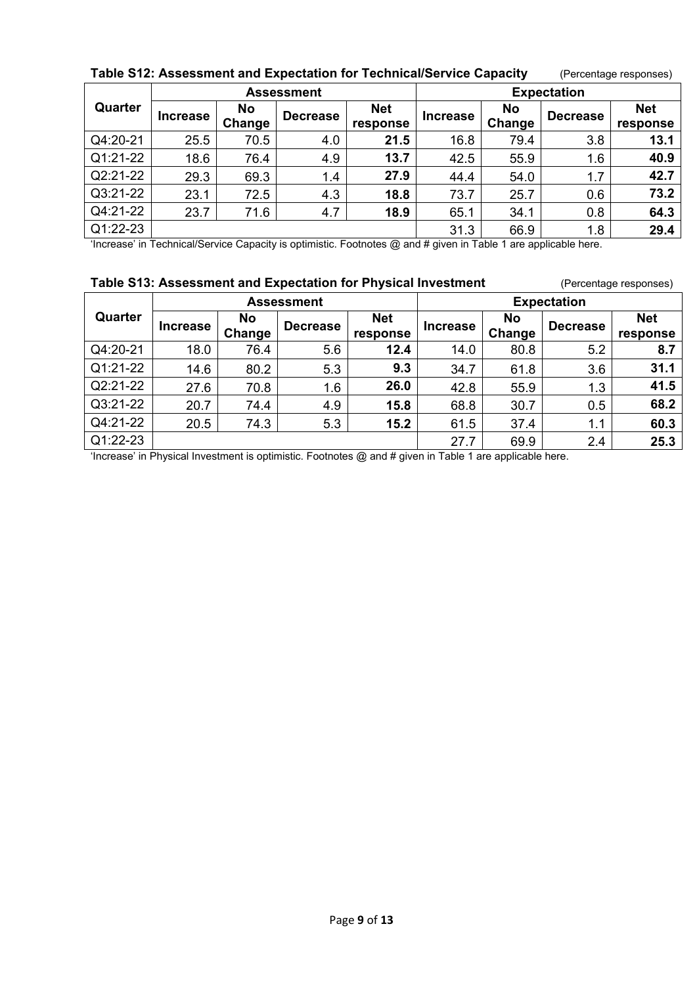|                                      |                          |                     | <b>Assessment</b> |                        |                  |                     | <b>Expectation</b> |                        |
|--------------------------------------|--------------------------|---------------------|-------------------|------------------------|------------------|---------------------|--------------------|------------------------|
| Quarter                              | <b>Increase</b>          | <b>No</b><br>Change | <b>Decrease</b>   | <b>Net</b><br>response | <b>Increase</b>  | <b>No</b><br>Change | <b>Decrease</b>    | <b>Net</b><br>response |
| Q4:20-21                             | 25.5                     | 70.5                | 4.0               | 21.5                   | 16.8             | 79.4                | 3.8                | 13.1                   |
| Q1:21-22                             | 18.6                     | 76.4                | 4.9               | 13.7                   | 42.5             | 55.9                | 1.6                | 40.9                   |
| Q2:21-22                             | 29.3                     | 69.3                | 1.4               | 27.9                   | 44.4             | 54.0                | 1.7                | 42.7                   |
| Q3:21-22                             | 23.1                     | 72.5                | 4.3               | 18.8                   | 73.7             | 25.7                | 0.6                | 73.2                   |
| Q4:21-22                             | 23.7                     | 71.6                | 4.7               | 18.9                   | 65.1             | 34.1                | 0.8                | 64.3                   |
| Q1:22-23<br>$\cdots$<br>$\epsilon$ . | $\overline{\phantom{a}}$ | . .<br>$\sim$       |                   | $   -$                 | 31.3<br>$\cdots$ | 66.9<br>.           | 1.8<br>.           | 29.4                   |

#### **Table S12: Assessment and Expectation for Technical/Service Capacity** (Percentage responses)

'Increase' in Technical/Service Capacity is optimistic. Footnotes @ and # given in Table 1 are applicable here.

# **Table S13: Assessment and Expectation for Physical Investment** (Percentage responses)

**Quarter Assessment Expectation Increase Ro** Change **Change Decrease Net response Increase Change Change Decrease Net response** Q4:20-21 18.0 76.4 5.6 **12.4** 14.0 80.8 5.2 **8.7** Q1:21-22 14.6 80.2 5.3 **9.3** 34.7 61.8 3.6 **31.1** Q2:21-22 27.6 70.8 1.6 **26.0** 42.8 55.9 1.3 **41.5** Q3:21-22 20.7 74.4 4.9 **15.8** 68.8 30.7 0.5 **68.2** Q4:21-22 20.5 74.3 5.3 **15.2** 61.5 37.4 1.1 **60.3** Q1:22-23 27.7 69.9 2.4 **25.3**

'Increase' in Physical Investment is optimistic. Footnotes @ and # given in Table 1 are applicable here.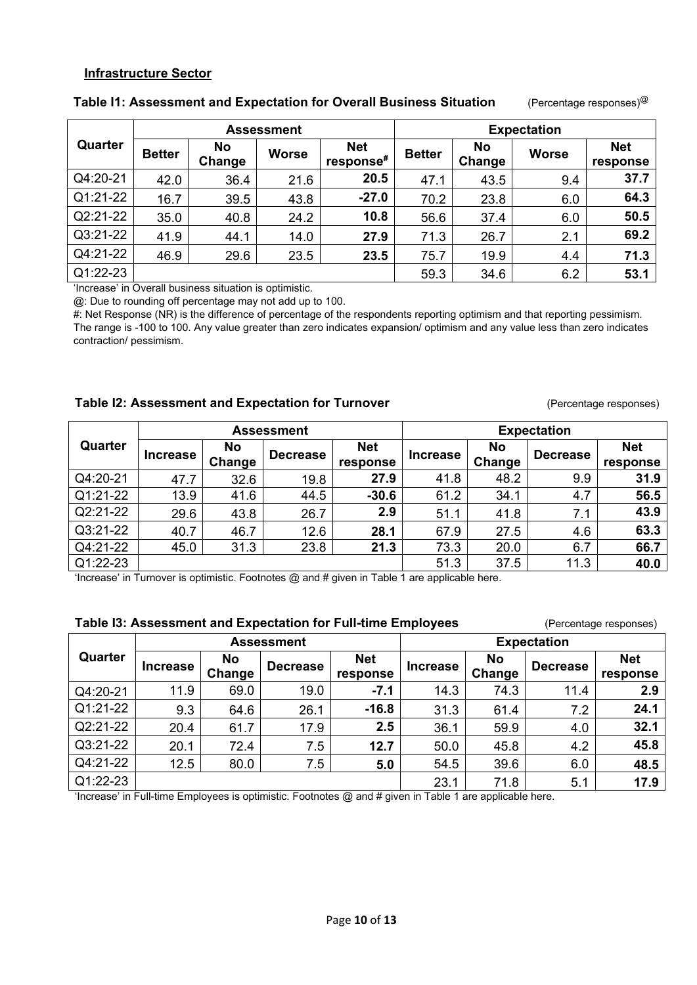#### **Infrastructure Sector**

|          |               |              | <b>Assessment</b> |                         |               |                     | <b>Expectation</b> |                        |
|----------|---------------|--------------|-------------------|-------------------------|---------------|---------------------|--------------------|------------------------|
| Quarter  | <b>Better</b> | No<br>Change | Worse             | <b>Net</b><br>response# | <b>Better</b> | <b>No</b><br>Change | <b>Worse</b>       | <b>Net</b><br>response |
| Q4:20-21 | 42.0          | 36.4         | 21.6              | 20.5                    | 47.1          | 43.5                | 9.4                | 37.7                   |
| Q1:21-22 | 16.7          | 39.5         | 43.8              | $-27.0$                 | 70.2          | 23.8                | 6.0                | 64.3                   |
| Q2:21-22 | 35.0          | 40.8         | 24.2              | 10.8                    | 56.6          | 37.4                | 6.0                | 50.5                   |
| Q3:21-22 | 41.9          | 44.1         | 14.0              | 27.9                    | 71.3          | 26.7                | 2.1                | 69.2                   |
| Q4:21-22 | 46.9          | 29.6         | 23.5              | 23.5                    | 75.7          | 19.9                | 4.4                | 71.3                   |
| Q1:22-23 |               |              |                   |                         | 59.3          | 34.6                | 6.2                | 53.1                   |

#### **Table I1: Assessment and Expectation for Overall Business Situation** (Percentage responses)@

'Increase' in Overall business situation is optimistic.

@: Due to rounding off percentage may not add up to 100.

#: Net Response (NR) is the difference of percentage of the respondents reporting optimism and that reporting pessimism. The range is -100 to 100. Any value greater than zero indicates expansion/ optimism and any value less than zero indicates contraction/ pessimism.

# **Table 12: Assessment and Expectation for Turnover** (Percentage responses)

|            |                 |                     | <b>Assessment</b> |                        | <b>Expectation</b> |                     |                 |                        |
|------------|-----------------|---------------------|-------------------|------------------------|--------------------|---------------------|-----------------|------------------------|
| Quarter    | <b>Increase</b> | <b>No</b><br>Change | <b>Decrease</b>   | <b>Net</b><br>response | <b>Increase</b>    | <b>No</b><br>Change | <b>Decrease</b> | <b>Net</b><br>response |
| Q4:20-21   | 47.7            | 32.6                | 19.8              | 27.9                   | 41.8               | 48.2                | 9.9             | 31.9                   |
| Q1:21-22   | 13.9            | 41.6                | 44.5              | $-30.6$                | 61.2               | 34.1                | 4.7             | 56.5                   |
| Q2:21-22   | 29.6            | 43.8                | 26.7              | 2.9                    | 51.1               | 41.8                | 7.1             | 43.9                   |
| Q3:21-22   | 40.7            | 46.7                | 12.6              | 28.1                   | 67.9               | 27.5                | 4.6             | 63.3                   |
| Q4:21-22   | 45.0            | 31.3                | 23.8              | 21.3                   | 73.3               | 20.0                | 6.7             | 66.7                   |
| Q1:22-23   |                 |                     |                   |                        | 51.3               | 37.5                | 11.3            | 40.0                   |
| $\epsilon$ |                 | .                   | .<br>$   -$       | .                      | .                  |                     |                 |                        |

'Increase' in Turnover is optimistic. Footnotes @ and # given in Table 1 are applicable here.

|          |                 |                     | rable is: Assessment and Expectation for Fun-time Employees |                        |                    |                     |                 | (Percentage responses) |
|----------|-----------------|---------------------|-------------------------------------------------------------|------------------------|--------------------|---------------------|-----------------|------------------------|
|          |                 |                     | <b>Assessment</b>                                           |                        | <b>Expectation</b> |                     |                 |                        |
| Quarter  | <b>Increase</b> | <b>No</b><br>Change | <b>Decrease</b>                                             | <b>Net</b><br>response | <b>Increase</b>    | <b>No</b><br>Change | <b>Decrease</b> | <b>Net</b><br>response |
| Q4:20-21 | 11.9            | 69.0                | 19.0                                                        | $-7.1$                 | 14.3               | 74.3                | 11.4            | 2.9                    |
| Q1:21-22 | 9.3             | 64.6                | 26.1                                                        | $-16.8$                | 31.3               | 61.4                | 7.2             | 24.1                   |
| Q2:21-22 | 20.4            | 61.7                | 17.9                                                        | 2.5                    | 36.1               | 59.9                | 4.0             | 32.1                   |
| Q3:21-22 | 20.1            | 72.4                | 7.5                                                         | 12.7                   | 50.0               | 45.8                | 4.2             | 45.8                   |
| Q4:21-22 | 12.5            | 80.0                | 7.5                                                         | 5.0                    | 54.5               | 39.6                | 6.0             | 48.5                   |
| Q1:22-23 |                 |                     |                                                             |                        | 23.1               | 71.8                | 5.1             | 17.9                   |

# **Table I3: Assessment and Expectation for Full-time Employees** (Percentage responses)

'Increase' in Full-time Employees is optimistic. Footnotes @ and # given in Table 1 are applicable here.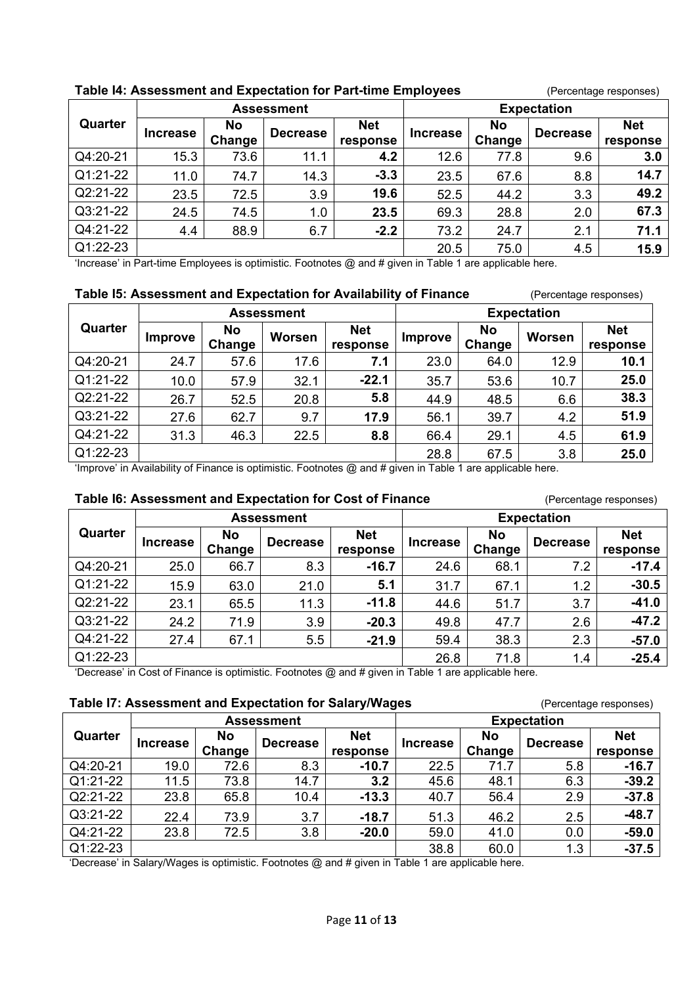|                          |                               |                     | rable 14: Assessment and Expectation for Part-time Employees |                        |                    |                     |                 | (Percentage responses) |
|--------------------------|-------------------------------|---------------------|--------------------------------------------------------------|------------------------|--------------------|---------------------|-----------------|------------------------|
|                          |                               |                     | <b>Assessment</b>                                            |                        | <b>Expectation</b> |                     |                 |                        |
| Quarter                  | <b>Increase</b>               | <b>No</b><br>Change | <b>Decrease</b>                                              | <b>Net</b><br>response | <b>Increase</b>    | <b>No</b><br>Change | <b>Decrease</b> | <b>Net</b><br>response |
| Q4:20-21                 | 15.3                          | 73.6                | 11.1                                                         | 4.2                    | 12.6               | 77.8                | 9.6             | 3.0                    |
| Q1:21-22                 | 11.0                          | 74.7                | 14.3                                                         | $-3.3$                 | 23.5               | 67.6                | 8.8             | 14.7                   |
| Q2:21-22                 | 23.5                          | 72.5                | 3.9                                                          | 19.6                   | 52.5               | 44.2                | 3.3             | 49.2                   |
| Q3:21-22                 | 24.5                          | 74.5                | 1.0                                                          | 23.5                   | 69.3               | 28.8                | 2.0             | 67.3                   |
| Q4:21-22                 | 4.4                           | 88.9                | 6.7                                                          | $-2.2$                 | 73.2               | 24.7                | 2.1             | 71.1                   |
| Q1:22-23<br>$\epsilon$ . | .<br>$\overline{\phantom{0}}$ |                     | - - - -                                                      | $\cdots$               | 20.5<br>.          | 75.0<br>.           | 4.5             | 15.9                   |

# **Table I4: Assessment and Expectation for Part-time Employees** (Percentage responses)

'Increase' in Part-time Employees is optimistic. Footnotes @ and # given in Table 1 are applicable here.

#### **Table 15: Assessment and Expectation for Availability of Finance** (Percentage responses)

|          |                |              | <b>Assessment</b> |                        |                |                     | <b>Expectation</b> |                        |
|----------|----------------|--------------|-------------------|------------------------|----------------|---------------------|--------------------|------------------------|
| Quarter  | <b>Improve</b> | No<br>Change | Worsen            | <b>Net</b><br>response | <b>Improve</b> | <b>No</b><br>Change | Worsen             | <b>Net</b><br>response |
| Q4:20-21 | 24.7           | 57.6         | 17.6              | 7.1                    | 23.0           | 64.0                | 12.9               | 10.1                   |
| Q1:21-22 | 10.0           | 57.9         | 32.1              | $-22.1$                | 35.7           | 53.6                | 10.7               | 25.0                   |
| Q2:21-22 | 26.7           | 52.5         | 20.8              | 5.8                    | 44.9           | 48.5                | 6.6                | 38.3                   |
| Q3:21-22 | 27.6           | 62.7         | 9.7               | 17.9                   | 56.1           | 39.7                | 4.2                | 51.9                   |
| Q4:21-22 | 31.3           | 46.3         | 22.5              | 8.8                    | 66.4           | 29.1                | 4.5                | 61.9                   |
| Q1:22-23 |                |              |                   |                        | 28.8           | 67.5                | 3.8                | 25.0                   |

'Improve' in Availability of Finance is optimistic. Footnotes @ and # given in Table 1 are applicable here.

#### **Table I6: Assessment and Expectation for Cost of Finance** (Percentage responses)

|          |                 |                     | <b>Assessment</b> |                        | <b>Expectation</b> |                     |                 |                        |
|----------|-----------------|---------------------|-------------------|------------------------|--------------------|---------------------|-----------------|------------------------|
| Quarter  | <b>Increase</b> | <b>No</b><br>Change | <b>Decrease</b>   | <b>Net</b><br>response | <b>Increase</b>    | <b>No</b><br>Change | <b>Decrease</b> | <b>Net</b><br>response |
| Q4:20-21 | 25.0            | 66.7                | 8.3               | $-16.7$                | 24.6               | 68.1                | 7.2             | $-17.4$                |
| Q1:21-22 | 15.9            | 63.0                | 21.0              | 5.1                    | 31.7               | 67.1                | 1.2             | $-30.5$                |
| Q2:21-22 | 23.1            | 65.5                | 11.3              | $-11.8$                | 44.6               | 51.7                | 3.7             | $-41.0$                |
| Q3:21-22 | 24.2            | 71.9                | 3.9               | $-20.3$                | 49.8               | 47.7                | 2.6             | $-47.2$                |
| Q4:21-22 | 27.4            | 67.1                | 5.5               | $-21.9$                | 59.4               | 38.3                | 2.3             | $-57.0$                |
| Q1:22-23 |                 |                     |                   |                        | 26.8               | 71.8                | 1.4             | $-25.4$                |

'Decrease' in Cost of Finance is optimistic. Footnotes @ and # given in Table 1 are applicable here.

|          |                 |           |                   | Table I7: Assessment and Expectation for Salary/Wages |                 |           |                    | (Percentage responses) |  |
|----------|-----------------|-----------|-------------------|-------------------------------------------------------|-----------------|-----------|--------------------|------------------------|--|
|          |                 |           | <b>Assessment</b> |                                                       |                 |           | <b>Expectation</b> |                        |  |
| Quarter  | <b>Increase</b> | <b>No</b> | <b>Decrease</b>   | <b>Net</b>                                            | <b>Increase</b> | <b>No</b> | <b>Decrease</b>    | <b>Net</b>             |  |
|          |                 | Change    |                   | response                                              |                 | Change    |                    | response               |  |
| Q4:20-21 | 19.0            | 72.6      | 8.3               | $-10.7$                                               | 22.5            | 71.7      | 5.8                | $-16.7$                |  |
| Q1:21-22 | 11.5            | 73.8      | 14.7              | 3.2                                                   | 45.6            | 48.1      | 6.3                | $-39.2$                |  |
| Q2:21-22 | 23.8            | 65.8      | 10.4              | $-13.3$                                               | 40.7            | 56.4      | 2.9                | $-37.8$                |  |
| Q3:21-22 | 22.4            | 73.9      | 3.7               | $-18.7$                                               | 51.3            | 46.2      | 2.5                | $-48.7$                |  |
| Q4:21-22 | 23.8            | 72.5      | 3.8               | $-20.0$                                               | 59.0            | 41.0      | 0.0                | $-59.0$                |  |
| Q1:22-23 |                 |           |                   |                                                       | 38.8            | 60.0      | 1.3                | $-37.5$                |  |

'Decrease' in Salary/Wages is optimistic. Footnotes @ and # given in Table 1 are applicable here.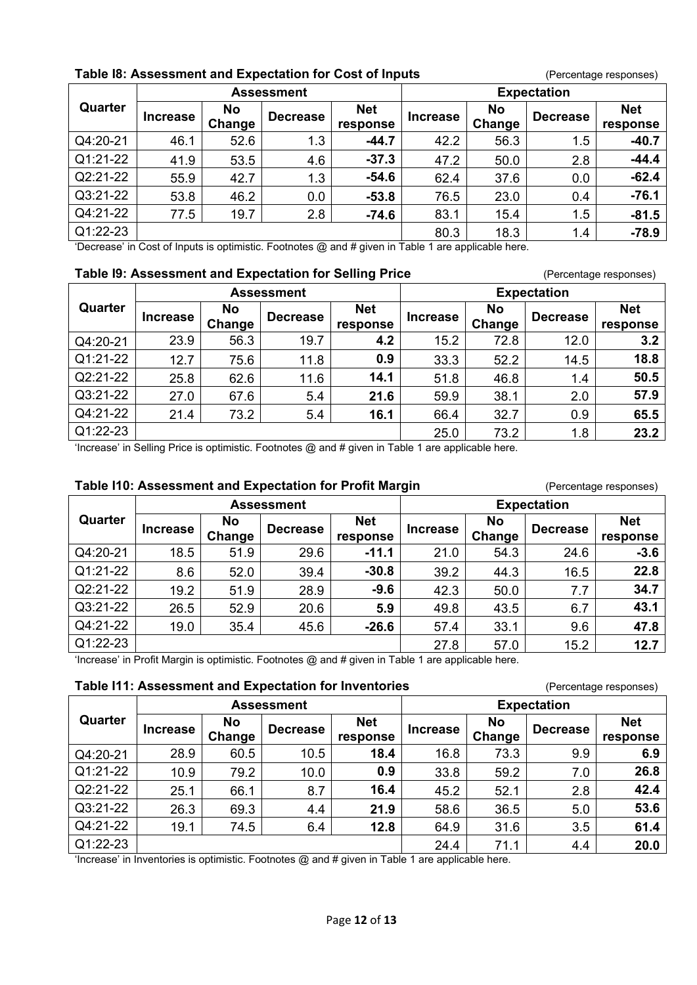# **Table 18: Assessment and Expectation for Cost of Inputs** (Percentage responses)

|          |                 |                     | <b>Assessment</b>                                                                                       |                        |                 |                     | <b>Expectation</b> |                        |
|----------|-----------------|---------------------|---------------------------------------------------------------------------------------------------------|------------------------|-----------------|---------------------|--------------------|------------------------|
| Quarter  | <b>Increase</b> | <b>No</b><br>Change | <b>Decrease</b>                                                                                         | <b>Net</b><br>response | <b>Increase</b> | <b>No</b><br>Change | <b>Decrease</b>    | <b>Net</b><br>response |
| Q4:20-21 | 46.1            | 52.6                | 1.3                                                                                                     | $-44.7$                | 42.2            | 56.3                | 1.5                | $-40.7$                |
| Q1:21-22 | 41.9            | 53.5                | 4.6                                                                                                     | $-37.3$                | 47.2            | 50.0                | 2.8                | $-44.4$                |
| Q2:21-22 | 55.9            | 42.7                | 1.3                                                                                                     | $-54.6$                | 62.4            | 37.6                | 0.0                | $-62.4$                |
| Q3:21-22 | 53.8            | 46.2                | 0.0                                                                                                     | $-53.8$                | 76.5            | 23.0                | 0.4                | $-76.1$                |
| Q4:21-22 | 77.5            | 19.7                | 2.8                                                                                                     | $-74.6$                | 83.1            | 15.4                | 1.5                | $-81.5$                |
| Q1:22-23 |                 |                     |                                                                                                         |                        | 80.3            | 18.3                | 1.4                | $-78.9$                |
|          |                 |                     | (Decessor) in Contral Incurre in cutinciation Exclusives @ and # aircon in Table 4 and condicable bound |                        |                 |                     |                    |                        |

'Decrease' in Cost of Inputs is optimistic. Footnotes @ and # given in Table 1 are applicable here.

#### **Table I9: Assessment and Expectation for Selling Price** (Percentage responses)

|          |                 |                     | <b>Assessment</b> |                        |                 |                     | <b>Expectation</b> |                        |
|----------|-----------------|---------------------|-------------------|------------------------|-----------------|---------------------|--------------------|------------------------|
| Quarter  | <b>Increase</b> | <b>No</b><br>Change | <b>Decrease</b>   | <b>Net</b><br>response | <b>Increase</b> | <b>No</b><br>Change | <b>Decrease</b>    | <b>Net</b><br>response |
| Q4:20-21 | 23.9            | 56.3                | 19.7              | 4.2                    | 15.2            | 72.8                | 12.0               | 3.2                    |
| Q1:21-22 | 12.7            | 75.6                | 11.8              | 0.9                    | 33.3            | 52.2                | 14.5               | 18.8                   |
| Q2:21-22 | 25.8            | 62.6                | 11.6              | 14.1                   | 51.8            | 46.8                | 1.4                | 50.5                   |
| Q3:21-22 | 27.0            | 67.6                | 5.4               | 21.6                   | 59.9            | 38.1                | 2.0                | 57.9                   |
| Q4:21-22 | 21.4            | 73.2                | 5.4               | 16.1                   | 66.4            | 32.7                | 0.9                | 65.5                   |
| Q1:22-23 |                 |                     |                   |                        | 25.0            | 73.2                | 1.8                | 23.2                   |

'Increase' in Selling Price is optimistic. Footnotes @ and # given in Table 1 are applicable here.

# **Table I10: Assessment and Expectation for Profit Margin** *(Percentage responses)*

| Quarter                                                                                                |                 |                     | <b>Assessment</b> |                        | <b>Expectation</b> |                     |                 |                        |
|--------------------------------------------------------------------------------------------------------|-----------------|---------------------|-------------------|------------------------|--------------------|---------------------|-----------------|------------------------|
|                                                                                                        | <b>Increase</b> | <b>No</b><br>Change | <b>Decrease</b>   | <b>Net</b><br>response | <b>Increase</b>    | <b>No</b><br>Change | <b>Decrease</b> | <b>Net</b><br>response |
| Q4:20-21                                                                                               | 18.5            | 51.9                | 29.6              | $-11.1$                | 21.0               | 54.3                | 24.6            | $-3.6$                 |
| Q1:21-22                                                                                               | 8.6             | 52.0                | 39.4              | $-30.8$                | 39.2               | 44.3                | 16.5            | 22.8                   |
| Q2:21-22                                                                                               | 19.2            | 51.9                | 28.9              | $-9.6$                 | 42.3               | 50.0                | 7.7             | 34.7                   |
| Q3:21-22                                                                                               | 26.5            | 52.9                | 20.6              | 5.9                    | 49.8               | 43.5                | 6.7             | 43.1                   |
| Q4:21-22                                                                                               | 19.0            | 35.4                | 45.6              | $-26.6$                | 57.4               | 33.1                | 9.6             | 47.8                   |
| Q1:22-23                                                                                               |                 |                     |                   |                        | 27.8               | 57.0                | 15.2            | 12.7                   |
| fluggered in Ducfit Meanin in cuttoriation Featureton @ and # always in Table 4 and configurable bound |                 |                     |                   |                        |                    |                     |                 |                        |

'Increase' in Profit Margin is optimistic. Footnotes @ and # given in Table 1 are applicable here.

#### **Table I11: Assessment and Expectation for Inventories** (Percentage responses)

| Quarter  | <b>Assessment</b> |                     |                 |                        | <b>Expectation</b> |                     |                 |                        |
|----------|-------------------|---------------------|-----------------|------------------------|--------------------|---------------------|-----------------|------------------------|
|          | <b>Increase</b>   | <b>No</b><br>Change | <b>Decrease</b> | <b>Net</b><br>response | <b>Increase</b>    | <b>No</b><br>Change | <b>Decrease</b> | <b>Net</b><br>response |
| Q4:20-21 | 28.9              | 60.5                | 10.5            | 18.4                   | 16.8               | 73.3                | 9.9             | 6.9                    |
| Q1:21-22 | 10.9              | 79.2                | 10.0            | 0.9                    | 33.8               | 59.2                | 7.0             | 26.8                   |
| Q2:21-22 | 25.1              | 66.1                | 8.7             | 16.4                   | 45.2               | 52.1                | 2.8             | 42.4                   |
| Q3:21-22 | 26.3              | 69.3                | 4.4             | 21.9                   | 58.6               | 36.5                | 5.0             | 53.6                   |
| Q4:21-22 | 19.1              | 74.5                | 6.4             | 12.8                   | 64.9               | 31.6                | 3.5             | 61.4                   |
| Q1:22-23 |                   |                     |                 |                        | 24.4               | 71.1                | 4.4             | 20.0                   |

'Increase' in Inventories is optimistic. Footnotes @ and # given in Table 1 are applicable here.